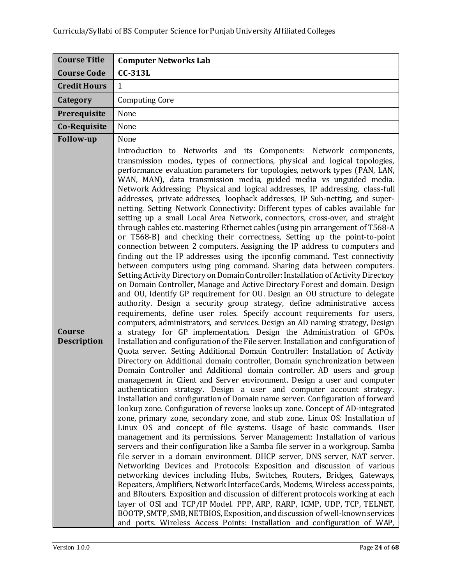| <b>Course Title</b>          | <b>Computer Networks Lab</b>                                                                                                                                                                                                                                                                                                                                                                                                                                                                                                                                                                                                                                                                                                                                                                                                                                                                                                                                                                                                                                                                                                                                                                                                                                                                                                                                                                                                                                                                                                                                                                                                                                                                                                                                                                                                                                                                                                                                                                                                                                                                                                                                                                                                                                                                                                                                                                                                                                                                                                                                                                                                                                                                                                                                                                                                                                                                                                                                                                                                                                                                                                                                                                                                              |
|------------------------------|-------------------------------------------------------------------------------------------------------------------------------------------------------------------------------------------------------------------------------------------------------------------------------------------------------------------------------------------------------------------------------------------------------------------------------------------------------------------------------------------------------------------------------------------------------------------------------------------------------------------------------------------------------------------------------------------------------------------------------------------------------------------------------------------------------------------------------------------------------------------------------------------------------------------------------------------------------------------------------------------------------------------------------------------------------------------------------------------------------------------------------------------------------------------------------------------------------------------------------------------------------------------------------------------------------------------------------------------------------------------------------------------------------------------------------------------------------------------------------------------------------------------------------------------------------------------------------------------------------------------------------------------------------------------------------------------------------------------------------------------------------------------------------------------------------------------------------------------------------------------------------------------------------------------------------------------------------------------------------------------------------------------------------------------------------------------------------------------------------------------------------------------------------------------------------------------------------------------------------------------------------------------------------------------------------------------------------------------------------------------------------------------------------------------------------------------------------------------------------------------------------------------------------------------------------------------------------------------------------------------------------------------------------------------------------------------------------------------------------------------------------------------------------------------------------------------------------------------------------------------------------------------------------------------------------------------------------------------------------------------------------------------------------------------------------------------------------------------------------------------------------------------------------------------------------------------------------------------------------------------|
| <b>Course Code</b>           | <b>CC-313L</b>                                                                                                                                                                                                                                                                                                                                                                                                                                                                                                                                                                                                                                                                                                                                                                                                                                                                                                                                                                                                                                                                                                                                                                                                                                                                                                                                                                                                                                                                                                                                                                                                                                                                                                                                                                                                                                                                                                                                                                                                                                                                                                                                                                                                                                                                                                                                                                                                                                                                                                                                                                                                                                                                                                                                                                                                                                                                                                                                                                                                                                                                                                                                                                                                                            |
| <b>Credit Hours</b>          | $\mathbf{1}$                                                                                                                                                                                                                                                                                                                                                                                                                                                                                                                                                                                                                                                                                                                                                                                                                                                                                                                                                                                                                                                                                                                                                                                                                                                                                                                                                                                                                                                                                                                                                                                                                                                                                                                                                                                                                                                                                                                                                                                                                                                                                                                                                                                                                                                                                                                                                                                                                                                                                                                                                                                                                                                                                                                                                                                                                                                                                                                                                                                                                                                                                                                                                                                                                              |
| Category                     | <b>Computing Core</b>                                                                                                                                                                                                                                                                                                                                                                                                                                                                                                                                                                                                                                                                                                                                                                                                                                                                                                                                                                                                                                                                                                                                                                                                                                                                                                                                                                                                                                                                                                                                                                                                                                                                                                                                                                                                                                                                                                                                                                                                                                                                                                                                                                                                                                                                                                                                                                                                                                                                                                                                                                                                                                                                                                                                                                                                                                                                                                                                                                                                                                                                                                                                                                                                                     |
| Prerequisite                 | None                                                                                                                                                                                                                                                                                                                                                                                                                                                                                                                                                                                                                                                                                                                                                                                                                                                                                                                                                                                                                                                                                                                                                                                                                                                                                                                                                                                                                                                                                                                                                                                                                                                                                                                                                                                                                                                                                                                                                                                                                                                                                                                                                                                                                                                                                                                                                                                                                                                                                                                                                                                                                                                                                                                                                                                                                                                                                                                                                                                                                                                                                                                                                                                                                                      |
| Co-Requisite                 | None                                                                                                                                                                                                                                                                                                                                                                                                                                                                                                                                                                                                                                                                                                                                                                                                                                                                                                                                                                                                                                                                                                                                                                                                                                                                                                                                                                                                                                                                                                                                                                                                                                                                                                                                                                                                                                                                                                                                                                                                                                                                                                                                                                                                                                                                                                                                                                                                                                                                                                                                                                                                                                                                                                                                                                                                                                                                                                                                                                                                                                                                                                                                                                                                                                      |
| Follow-up                    | None                                                                                                                                                                                                                                                                                                                                                                                                                                                                                                                                                                                                                                                                                                                                                                                                                                                                                                                                                                                                                                                                                                                                                                                                                                                                                                                                                                                                                                                                                                                                                                                                                                                                                                                                                                                                                                                                                                                                                                                                                                                                                                                                                                                                                                                                                                                                                                                                                                                                                                                                                                                                                                                                                                                                                                                                                                                                                                                                                                                                                                                                                                                                                                                                                                      |
| Course<br><b>Description</b> | Introduction to Networks and its Components: Network components,<br>transmission modes, types of connections, physical and logical topologies,<br>performance evaluation parameters for topologies, network types (PAN, LAN,<br>WAN, MAN), data transmission media, guided media vs unguided media.<br>Network Addressing: Physical and logical addresses, IP addressing, class-full<br>addresses, private addresses, loopback addresses, IP Sub-netting, and super-<br>netting. Setting Network Connectivity: Different types of cables available for<br>setting up a small Local Area Network, connectors, cross-over, and straight<br>through cables etc. mastering Ethernet cables (using pin arrangement of T568-A<br>or T568-B) and checking their correctness, Setting up the point-to-point<br>connection between 2 computers. Assigning the IP address to computers and<br>finding out the IP addresses using the ipconfig command. Test connectivity<br>between computers using ping command. Sharing data between computers.<br>Setting Activity Directory on Domain Controller: Installation of Activity Directory<br>on Domain Controller, Manage and Active Directory Forest and domain. Design<br>and OU, Identify GP requirement for OU. Design an OU structure to delegate<br>authority. Design a security group strategy, define administrative access<br>requirements, define user roles. Specify account requirements for users,<br>computers, administrators, and services. Design an AD naming strategy, Design<br>a strategy for GP implementation. Design the Administration of GPOs.<br>Installation and configuration of the File server. Installation and configuration of<br>Quota server. Setting Additional Domain Controller: Installation of Activity<br>Directory on Additional domain controller, Domain synchronization between<br>Domain Controller and Additional domain controller. AD users and group<br>management in Client and Server environment. Design a user and computer<br>authentication strategy. Design a user and computer account strategy.<br>Installation and configuration of Domain name server. Configuration of forward<br>lookup zone. Configuration of reverse looks up zone. Concept of AD-integrated<br>zone, primary zone, secondary zone, and stub zone. Linux OS: Installation of<br>Linux OS and concept of file systems. Usage of basic commands. User<br>management and its permissions. Server Management: Installation of various<br>servers and their configuration like a Samba file server in a workgroup. Samba<br>file server in a domain environment. DHCP server, DNS server, NAT server.<br>Networking Devices and Protocols: Exposition and discussion of various<br>networking devices including Hubs, Switches, Routers, Bridges, Gateways,<br>Repeaters, Amplifiers, Network Interface Cards, Modems, Wireless access points,<br>and BRouters. Exposition and discussion of different protocols working at each<br>layer of OSI and TCP/IP Model. PPP, ARP, RARP, ICMP, UDP, TCP, TELNET,<br>BOOTP, SMTP, SMB, NETBIOS, Exposition, and discussion of well-known services<br>and ports. Wireless Access Points: Installation and configuration of WAP, |